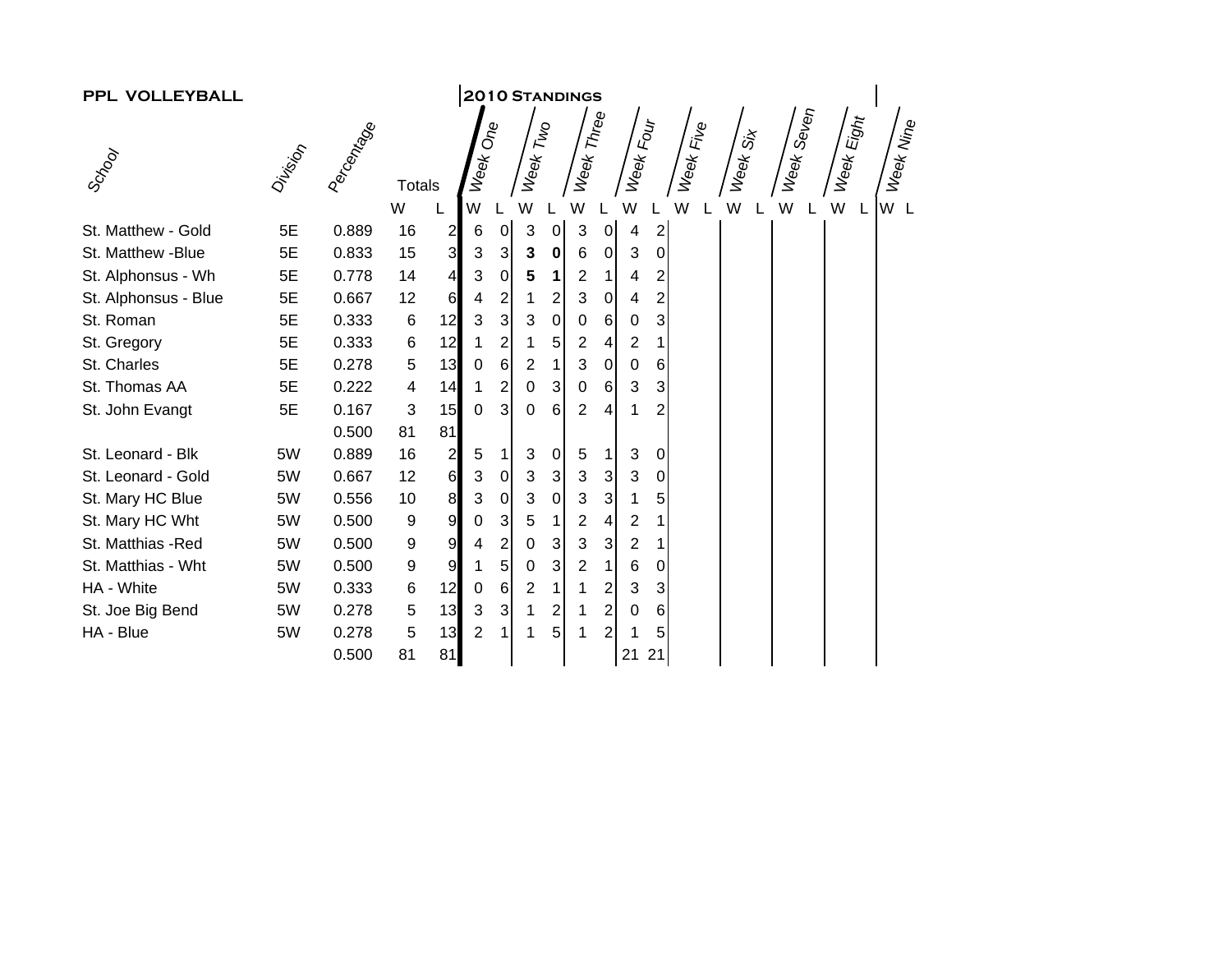| PPL VOLLEYBALL       |         |                   |                  |                         | <b>2010 STANDINGS</b> |                |                         |                |                           |                |                |                  |           |          |            |            |           |
|----------------------|---------|-------------------|------------------|-------------------------|-----------------------|----------------|-------------------------|----------------|---------------------------|----------------|----------------|------------------|-----------|----------|------------|------------|-----------|
|                      |         |                   |                  |                         |                       |                |                         |                |                           |                |                |                  |           |          |            |            |           |
| Scrool               | Driving | <b>Percentage</b> | <b>Totals</b>    |                         | Week One              |                | Week Two                |                | Week Three                |                | Week Four      |                  | Week Five | Week Six | Week Seven | Week Eight | Week Nine |
|                      |         |                   | W                |                         | W                     |                | W                       |                | W                         |                | W              |                  | W         | W        | W          | W<br>L     | W L       |
| St. Matthew - Gold   | 5E      | 0.889             | 16               | $\overline{\mathbf{c}}$ | 6                     | $\overline{0}$ | 3                       | $\overline{0}$ | $\sqrt{3}$                | $\overline{0}$ | 4              | $\overline{c}$   |           |          |            |            |           |
| St. Matthew -Blue    | 5E      | 0.833             | 15               | $\overline{3}$          | 3                     | $\mathbf{3}$   | 3                       | $\mathbf 0$    | $\,6$                     | $\overline{0}$ | 3              | $\boldsymbol{0}$ |           |          |            |            |           |
| St. Alphonsus - Wh   | 5E      | 0.778             | 14               | $\overline{4}$          | 3                     | $\pmb{0}$      | 5                       | 1              | $\overline{2}$            | 1              | 4              | 2                |           |          |            |            |           |
| St. Alphonsus - Blue | 5E      | 0.667             | 12               | 6                       | 4                     | 2              | 1                       | $\overline{c}$ | $\ensuremath{\mathsf{3}}$ | $\pmb{0}$      | 4              | 2                |           |          |            |            |           |
| St. Roman            | 5E      | 0.333             | 6                | 12                      | 3                     | 3              | 3                       | $\pmb{0}$      | $\pmb{0}$                 | 6              | $\mathbf 0$    | 3                |           |          |            |            |           |
| St. Gregory          | 5E      | 0.333             | 6                | 12                      |                       | 2              | 1                       | 5              | $\overline{c}$            | $\overline{4}$ | $\overline{c}$ |                  |           |          |            |            |           |
| St. Charles          | 5E      | 0.278             | 5                | 13                      | 0                     | 6              | 2                       |                | 3                         | $\mathbf 0$    | 0              | 6                |           |          |            |            |           |
| St. Thomas AA        | 5E      | 0.222             | 4                | 14                      | 1                     | 2              | 0                       | 3              | $\mathbf 0$               | 6              | 3              | 3                |           |          |            |            |           |
| St. John Evangt      | 5E      | 0.167             | 3                | 15                      | 0                     | 3              | $\mathbf 0$             | 6              | $\overline{2}$            | $\overline{4}$ | 1              | 2                |           |          |            |            |           |
|                      |         | 0.500             | 81               | 81                      |                       |                |                         |                |                           |                |                |                  |           |          |            |            |           |
| St. Leonard - Blk    | 5W      | 0.889             | 16               | $\mathbf{z}$            | 5                     |                | 3                       | $\pmb{0}$      | 5                         | 1 <sup>1</sup> | 3              | $\mathbf 0$      |           |          |            |            |           |
| St. Leonard - Gold   | 5W      | 0.667             | 12               | 6                       | 3                     | $\pmb{0}$      | 3                       | 3              | $\sqrt{3}$                | $\overline{3}$ | 3              | 0                |           |          |            |            |           |
| St. Mary HC Blue     | 5W      | 0.556             | 10               | 8 <sup>1</sup>          | 3                     | $\pmb{0}$      | 3                       | $\mathbf 0$    | 3                         | $\overline{3}$ | 1              | 5                |           |          |            |            |           |
| St. Mary HC Wht      | 5W      | 0.500             | 9                | $\overline{9}$          | 0                     | 3              | 5                       |                | $\overline{2}$            | 4              | $\overline{2}$ | 1                |           |          |            |            |           |
| St. Matthias -Red    | 5W      | 0.500             | 9                | $\overline{9}$          | 4                     | 2              | 0                       | 3              | 3                         | 3              | $\overline{2}$ | 1                |           |          |            |            |           |
| St. Matthias - Wht   | 5W      | 0.500             | $\boldsymbol{9}$ | $\overline{9}$          |                       | 5              | 0                       | 3              | $\overline{2}$            | $\mathbf 1$    | 6              | 0                |           |          |            |            |           |
| HA - White           | 5W      | 0.333             | 6                | 12                      | $\mathbf 0$           | $\,6$          | $\overline{\mathbf{c}}$ | 1              | 1                         | 2              | 3              | 3                |           |          |            |            |           |
| St. Joe Big Bend     | 5W      | 0.278             | 5                | 13                      | 3                     | $\mathbf{3}$   | 1                       | $\overline{2}$ | 1                         | $\overline{2}$ | 0              | 6                |           |          |            |            |           |
| HA - Blue            | 5W      | 0.278             | 5                | 13                      | $\overline{2}$        |                | 1                       | 5              | 1                         | $\overline{2}$ | 1              | 5                |           |          |            |            |           |
|                      |         | 0.500             | 81               | 81                      |                       |                |                         |                |                           |                | 21             | 21               |           |          |            |            |           |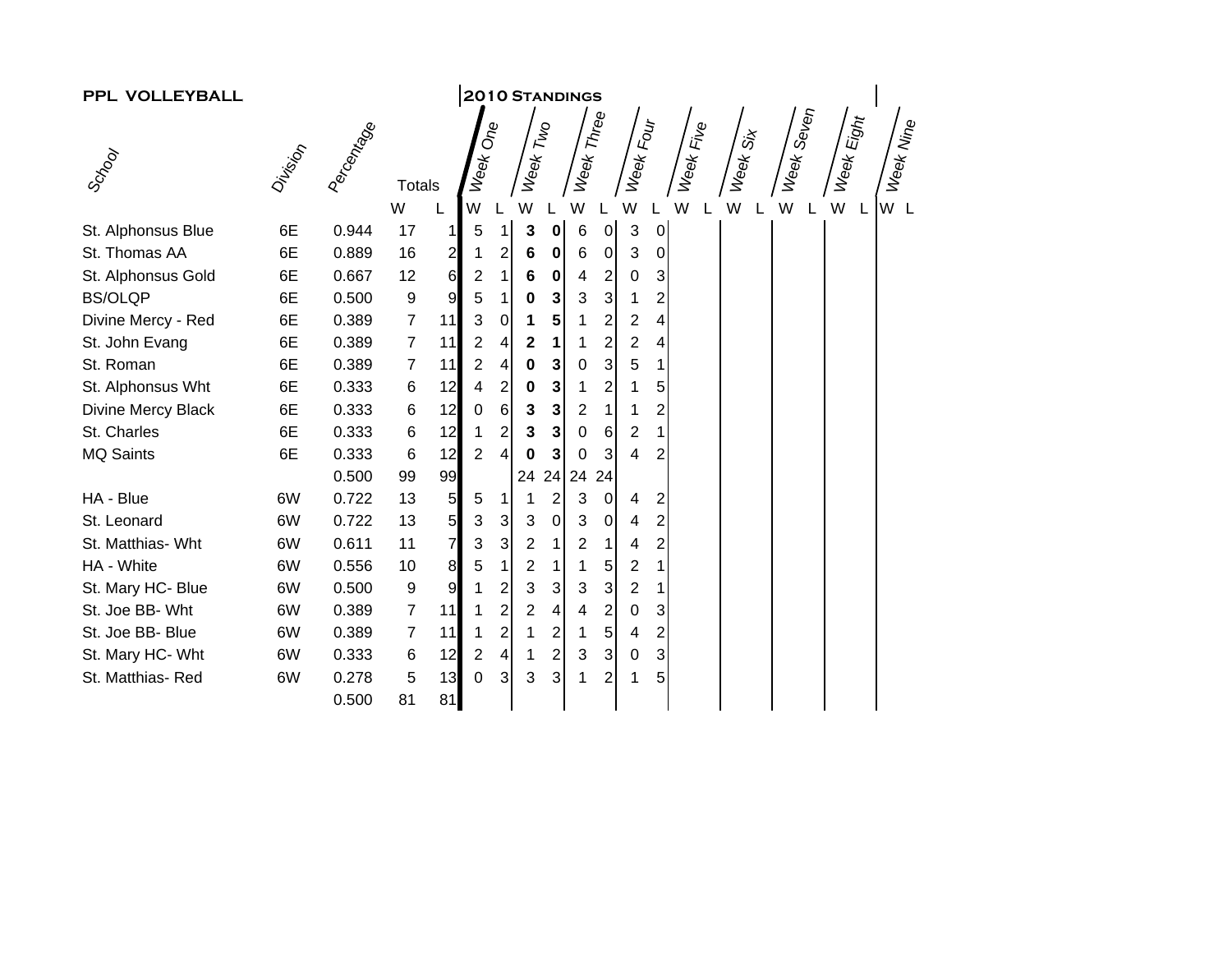| PPL VOLLEYBALL     |         |            |                  |                |                         |                |                |                         | <b>2010 STANDINGS</b> |                           |                         |                         |           |          |            |            |           |
|--------------------|---------|------------|------------------|----------------|-------------------------|----------------|----------------|-------------------------|-----------------------|---------------------------|-------------------------|-------------------------|-----------|----------|------------|------------|-----------|
|                    |         |            |                  |                |                         |                |                |                         |                       |                           |                         |                         |           |          |            |            |           |
| Scrool             | Driving | Percentage | <b>Totals</b>    |                | Week One                |                | Week Two       |                         | Week Three            |                           | Week Four               |                         | Week Five | Week Six | Week Seven | Week Eight | Week Nine |
|                    |         |            | W                |                | W                       |                | W              |                         | W                     |                           | W                       |                         | W         | W        | W          | W<br>L     | W L       |
| St. Alphonsus Blue | 6E      | 0.944      | 17               | $\mathbf{1}$   | 5                       | 1              | 3              | $\pmb{0}$               | $\,6$                 | $\pmb{0}$                 | 3                       | $\pmb{0}$               |           |          |            |            |           |
| St. Thomas AA      | 6E      | 0.889      | 16               | $\overline{2}$ | 1                       | $\overline{2}$ | 6              | $\pmb{0}$               | $\,6$                 | $\pmb{0}$                 | 3                       | 0                       |           |          |            |            |           |
| St. Alphonsus Gold | 6E      | 0.667      | 12               | 6              | $\overline{\mathbf{c}}$ | 1              | 6              | $\pmb{0}$               | 4                     | $\overline{\mathbf{c}}$   | 0                       | 3                       |           |          |            |            |           |
| <b>BS/OLQP</b>     | 6E      | 0.500      | $\boldsymbol{9}$ | $\overline{9}$ | 5                       | 1              | 0              | 3                       | 3                     | $\ensuremath{\mathsf{3}}$ | 1                       | 2                       |           |          |            |            |           |
| Divine Mercy - Red | 6E      | 0.389      | $\overline{7}$   | 11             | 3                       | 0              |                | 5                       | 1                     | 2                         | 2                       | 4                       |           |          |            |            |           |
| St. John Evang     | 6E      | 0.389      | $\overline{7}$   | 11             | $\overline{2}$          | $\overline{4}$ | 2              | 1                       | 1                     | $\overline{\mathbf{c}}$   | $\overline{\mathbf{c}}$ | 4                       |           |          |            |            |           |
| St. Roman          | 6E      | 0.389      | 7                | 11             | $\overline{2}$          | 4              | 0              | 3                       | $\mathbf 0$           | $\mathbf{3}$              | 5                       |                         |           |          |            |            |           |
| St. Alphonsus Wht  | 6E      | 0.333      | $\,6$            | 12             | 4                       | 2              | 0              | 3                       | 1                     | 2                         | 1                       | 5                       |           |          |            |            |           |
| Divine Mercy Black | 6E      | 0.333      | 6                | 12             | 0                       | 6              | 3              | 3                       | $\overline{2}$        | $\mathbf{1}$              | 1                       | 2                       |           |          |            |            |           |
| St. Charles        | 6E      | 0.333      | $\,6$            | 12             | 1                       | $\overline{a}$ | 3              | 3                       | 0                     | 6                         | 2                       |                         |           |          |            |            |           |
| <b>MQ Saints</b>   | 6E      | 0.333      | 6                | 12             | $\overline{2}$          | 4              | 0              | 3                       | 0                     | 3                         | 4                       | 2                       |           |          |            |            |           |
|                    |         | 0.500      | 99               | 99             |                         |                | 24             | 24                      | 24                    | 24                        |                         |                         |           |          |            |            |           |
| HA - Blue          | 6W      | 0.722      | 13               | 5 <sub>l</sub> | 5                       | 1              |                | $\overline{c}$          | 3                     | $\pmb{0}$                 | 4                       | $\overline{\mathbf{c}}$ |           |          |            |            |           |
| St. Leonard        | 6W      | 0.722      | 13               | 5 <sub>l</sub> | 3                       | $\mathbf{3}$   | 3              | $\pmb{0}$               | 3                     | $\pmb{0}$                 | 4                       | $\overline{2}$          |           |          |            |            |           |
| St. Matthias- Wht  | 6W      | 0.611      | 11               | $\overline{7}$ | 3                       | 3              | 2              | 1                       | $\overline{2}$        | 1                         | 4                       | 2                       |           |          |            |            |           |
| HA - White         | 6W      | 0.556      | 10               | 8              | 5                       |                | $\overline{2}$ | 1                       | 1                     | 5                         | $\overline{\mathbf{c}}$ |                         |           |          |            |            |           |
| St. Mary HC- Blue  | 6W      | 0.500      | 9                | 9              | 1                       | 2              | 3              | 3                       | 3                     | $\mathbf{3}$              | 2                       |                         |           |          |            |            |           |
| St. Joe BB- Wht    | 6W      | 0.389      | $\overline{7}$   | 11             | 1                       | 2              | 2              | 4                       | 4                     | 2                         | 0                       | 3                       |           |          |            |            |           |
| St. Joe BB- Blue   | 6W      | 0.389      | 7                | 11             | 1                       | 2              |                | $\overline{\mathbf{c}}$ | 1                     | 5                         | 4                       | 2                       |           |          |            |            |           |
| St. Mary HC- Wht   | 6W      | 0.333      | 6                | 12             | $\overline{\mathbf{c}}$ | 4              | 1              | $\overline{2}$          | 3                     | 3                         | 0                       | 3                       |           |          |            |            |           |
| St. Matthias-Red   | 6W      | 0.278      | 5                | 13             | $\overline{0}$          | 3              | 3              | 3                       | 1                     | 2                         | 1                       | 5                       |           |          |            |            |           |
|                    |         | 0.500      | 81               | 81             |                         |                |                |                         |                       |                           |                         |                         |           |          |            |            |           |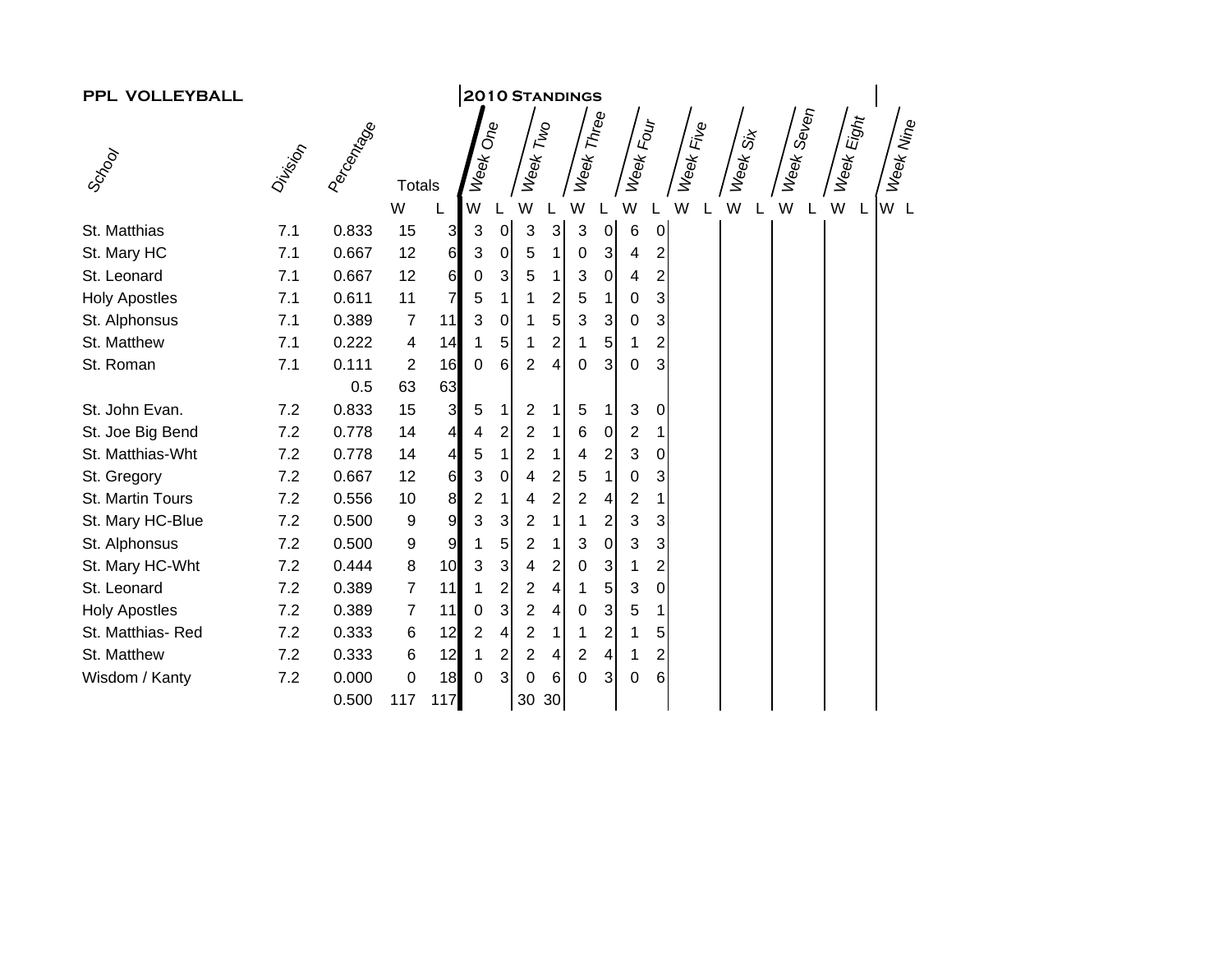| <b>2010 STANDINGS</b><br>PPL VOLLEYBALL |            |                   |                |                |                |                         |                |                |                         |                |           |                         |           |          |            |            |           |
|-----------------------------------------|------------|-------------------|----------------|----------------|----------------|-------------------------|----------------|----------------|-------------------------|----------------|-----------|-------------------------|-----------|----------|------------|------------|-----------|
|                                         | Week Three |                   |                |                |                |                         |                |                |                         |                |           |                         |           |          |            |            |           |
| Scrool                                  | Division   | <b>Peccantage</b> | <b>Totals</b>  |                | Week One       |                         | Week Two       |                |                         |                | Week Four |                         | Week Five | Week Six | Week Seven | Week Eight | Week Nine |
|                                         |            |                   | W              |                | W              |                         | W              |                | W                       |                | W         |                         | W         | W        | W          | W<br>L     | W L       |
| St. Matthias                            | 7.1        | 0.833             | 15             | 3              | 3              | $\overline{0}$          | 3              | $\mathbf{3}$   | 3                       | 0              | $\,6$     | $\mathbf 0$             |           |          |            |            |           |
| St. Mary HC                             | 7.1        | 0.667             | 12             | 6              | 3              | $\pmb{0}$               | 5              | 1              | 0                       | $\overline{3}$ | 4         | $\overline{2}$          |           |          |            |            |           |
| St. Leonard                             | 7.1        | 0.667             | 12             | 6              | 0              | 3                       | 5              | 1              | 3                       | $\overline{0}$ | 4         | $\overline{2}$          |           |          |            |            |           |
| <b>Holy Apostles</b>                    | 7.1        | 0.611             | 11             | 7              | 5              | 1                       |                | $\overline{c}$ | 5                       | 1 <sup>1</sup> | 0         | 3                       |           |          |            |            |           |
| St. Alphonsus                           | 7.1        | 0.389             | 7              | 11             | 3              | $\pmb{0}$               | 1              | 5              | 3                       | 3 <sup>1</sup> | 0         | 3                       |           |          |            |            |           |
| St. Matthew                             | 7.1        | 0.222             | 4              | 14             | 1              | 5                       | 1              | $\overline{2}$ | 1                       | 5              |           | $\overline{\mathbf{c}}$ |           |          |            |            |           |
| St. Roman                               | 7.1        | 0.111             | $\overline{2}$ | 16             | 0              | 6                       | $\overline{2}$ | 4              | 0                       | 3              | 0         | 3                       |           |          |            |            |           |
|                                         |            | 0.5               | 63             | 63             |                |                         |                |                |                         |                |           |                         |           |          |            |            |           |
| St. John Evan.                          | 7.2        | 0.833             | 15             | $\mathbf{3}$   | $\sqrt{5}$     | 1                       | 2              |                | 5                       | 1 <sup>1</sup> | 3         | 0                       |           |          |            |            |           |
| St. Joe Big Bend                        | 7.2        | 0.778             | 14             | 4              | 4              | 2                       | 2              |                | 6                       | $\overline{0}$ | 2         | 1                       |           |          |            |            |           |
| St. Matthias-Wht                        | 7.2        | 0.778             | 14             | 4              | 5              | $\mathbf{1}$            | $\overline{2}$ | 1              | 4                       | $\overline{2}$ | 3         | 0                       |           |          |            |            |           |
| St. Gregory                             | 7.2        | 0.667             | 12             | 6              | 3              | $\pmb{0}$               | 4              | $\overline{2}$ | 5                       | 1 <sup>1</sup> | 0         | 3                       |           |          |            |            |           |
| St. Martin Tours                        | 7.2        | 0.556             | 10             | 8              | $\overline{c}$ | $\mathbf{1}$            | 4              | $\overline{2}$ | $\overline{2}$          | 4              | 2         | 1                       |           |          |            |            |           |
| St. Mary HC-Blue                        | 7.2        | 0.500             | 9              | $\overline{9}$ | 3              | 3                       | 2              | 1              | 1                       | $\overline{2}$ | 3         | 3                       |           |          |            |            |           |
| St. Alphonsus                           | 7.2        | 0.500             | 9              | $\mathsf 9$    |                | 5                       | $\overline{2}$ | 1              | 3                       | $\overline{0}$ | 3         | 3                       |           |          |            |            |           |
| St. Mary HC-Wht                         | 7.2        | 0.444             | 8              | 10             | 3              | $\mathbf{3}$            | 4              | 2              | 0                       | $\mathbf{3}$   |           | 2                       |           |          |            |            |           |
| St. Leonard                             | 7.2        | 0.389             | 7              | 11             |                | $\overline{\mathbf{c}}$ | 2              | 4              | 1                       | 5 <sup>1</sup> | 3         | 0                       |           |          |            |            |           |
| <b>Holy Apostles</b>                    | 7.2        | 0.389             | 7              | 11             | 0              | 3                       | $\overline{2}$ | 4              | $\mathbf 0$             | 3 <sup>1</sup> | 5         | 1                       |           |          |            |            |           |
| St. Matthias-Red                        | 7.2        | 0.333             | 6              | 12             | $\overline{2}$ | 4                       | 2              | 1              | 1                       | 2              |           | 5                       |           |          |            |            |           |
| St. Matthew                             | 7.2        | 0.333             | 6              | 12             | 1              | 2                       | 2              | 4              | $\overline{\mathbf{c}}$ | 4              |           | $\overline{c}$          |           |          |            |            |           |
| Wisdom / Kanty                          | 7.2        | 0.000             | 0              | 18             | $\mathbf 0$    | $\overline{3}$          | 0              | 6              | 0                       | 3              | 0         | $6\phantom{1}$          |           |          |            |            |           |
|                                         |            | 0.500             | 117            | 117            |                |                         | 30             | 30             |                         |                |           |                         |           |          |            |            |           |